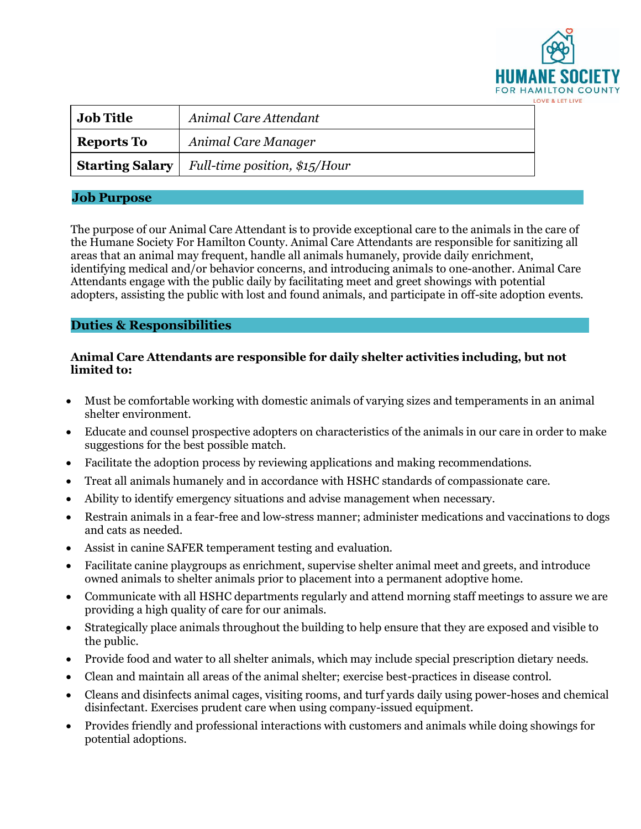

| <b>Job Title</b>  | Animal Care Attendant                                         |
|-------------------|---------------------------------------------------------------|
| <b>Reports To</b> | Animal Care Manager                                           |
|                   | <b>Starting Salary</b>   Full-time position, $\frac{\$15}{H}$ |

## **Job Purpose**

The purpose of our Animal Care Attendant is to provide exceptional care to the animals in the care of the Humane Society For Hamilton County. Animal Care Attendants are responsible for sanitizing all areas that an animal may frequent, handle all animals humanely, provide daily enrichment, identifying medical and/or behavior concerns, and introducing animals to one-another. Animal Care Attendants engage with the public daily by facilitating meet and greet showings with potential adopters, assisting the public with lost and found animals, and participate in off-site adoption events.

## **Duties & Responsibilities**

## **Animal Care Attendants are responsible for daily shelter activities including, but not limited to:**

- Must be comfortable working with domestic animals of varying sizes and temperaments in an animal shelter environment.
- Educate and counsel prospective adopters on characteristics of the animals in our care in order to make suggestions for the best possible match.
- Facilitate the adoption process by reviewing applications and making recommendations.
- Treat all animals humanely and in accordance with HSHC standards of compassionate care.
- Ability to identify emergency situations and advise management when necessary.
- Restrain animals in a fear-free and low-stress manner; administer medications and vaccinations to dogs and cats as needed.
- Assist in canine SAFER temperament testing and evaluation.
- Facilitate canine playgroups as enrichment, supervise shelter animal meet and greets, and introduce owned animals to shelter animals prior to placement into a permanent adoptive home.
- Communicate with all HSHC departments regularly and attend morning staff meetings to assure we are providing a high quality of care for our animals.
- Strategically place animals throughout the building to help ensure that they are exposed and visible to the public.
- Provide food and water to all shelter animals, which may include special prescription dietary needs.
- Clean and maintain all areas of the animal shelter; exercise best-practices in disease control.
- Cleans and disinfects animal cages, visiting rooms, and turf yards daily using power-hoses and chemical disinfectant. Exercises prudent care when using company-issued equipment.
- Provides friendly and professional interactions with customers and animals while doing showings for potential adoptions.